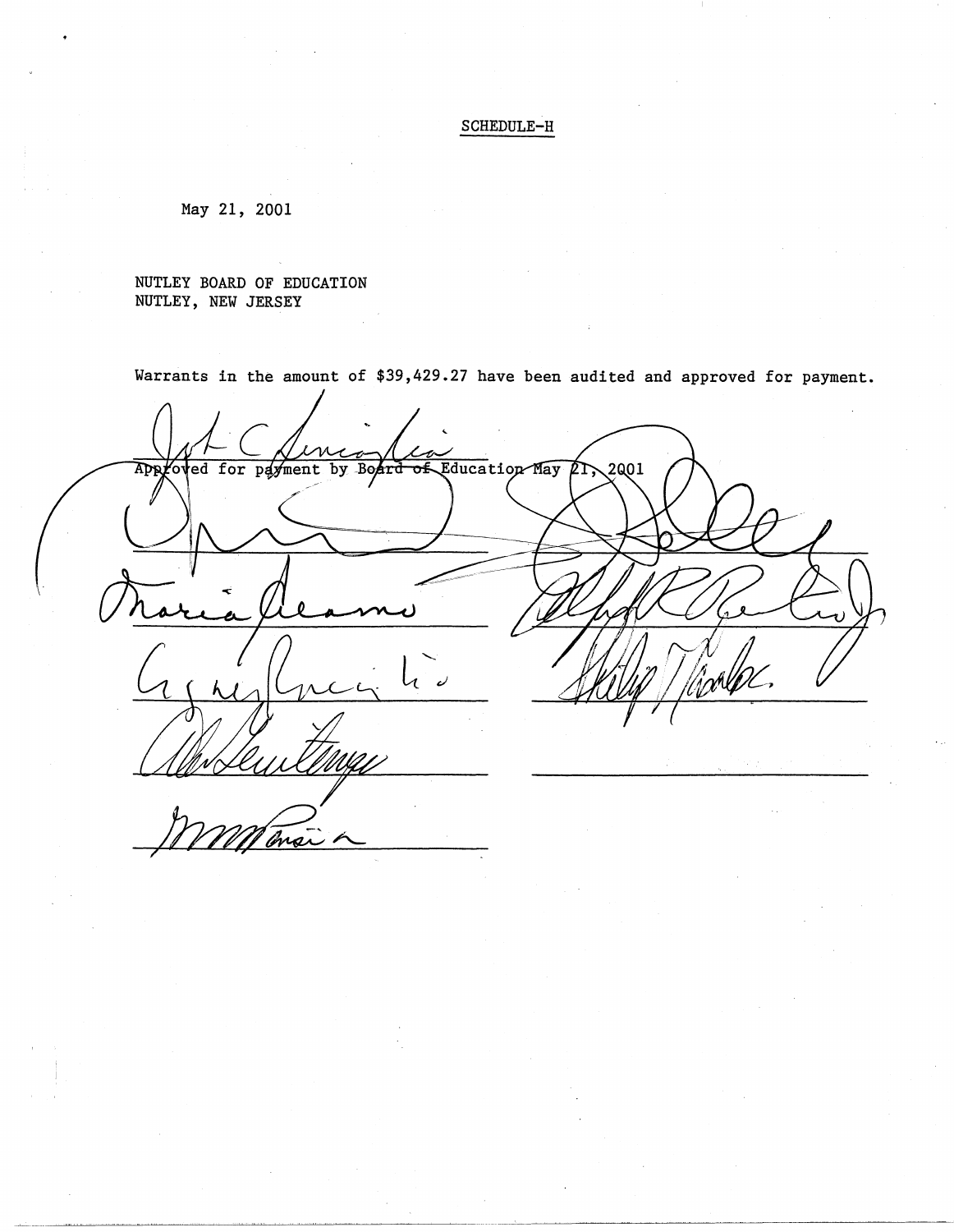SCHEDULE-H

May 21, 2001

NUTLEY BOARD OF EDUCATION NUTLEY, NEW JERSEY

Warrants in the amount of \$39,429.27 have been audited and approved for payment.

Approved for payment by Board of Education May  $2001$ 

--- --~----~~-~-~--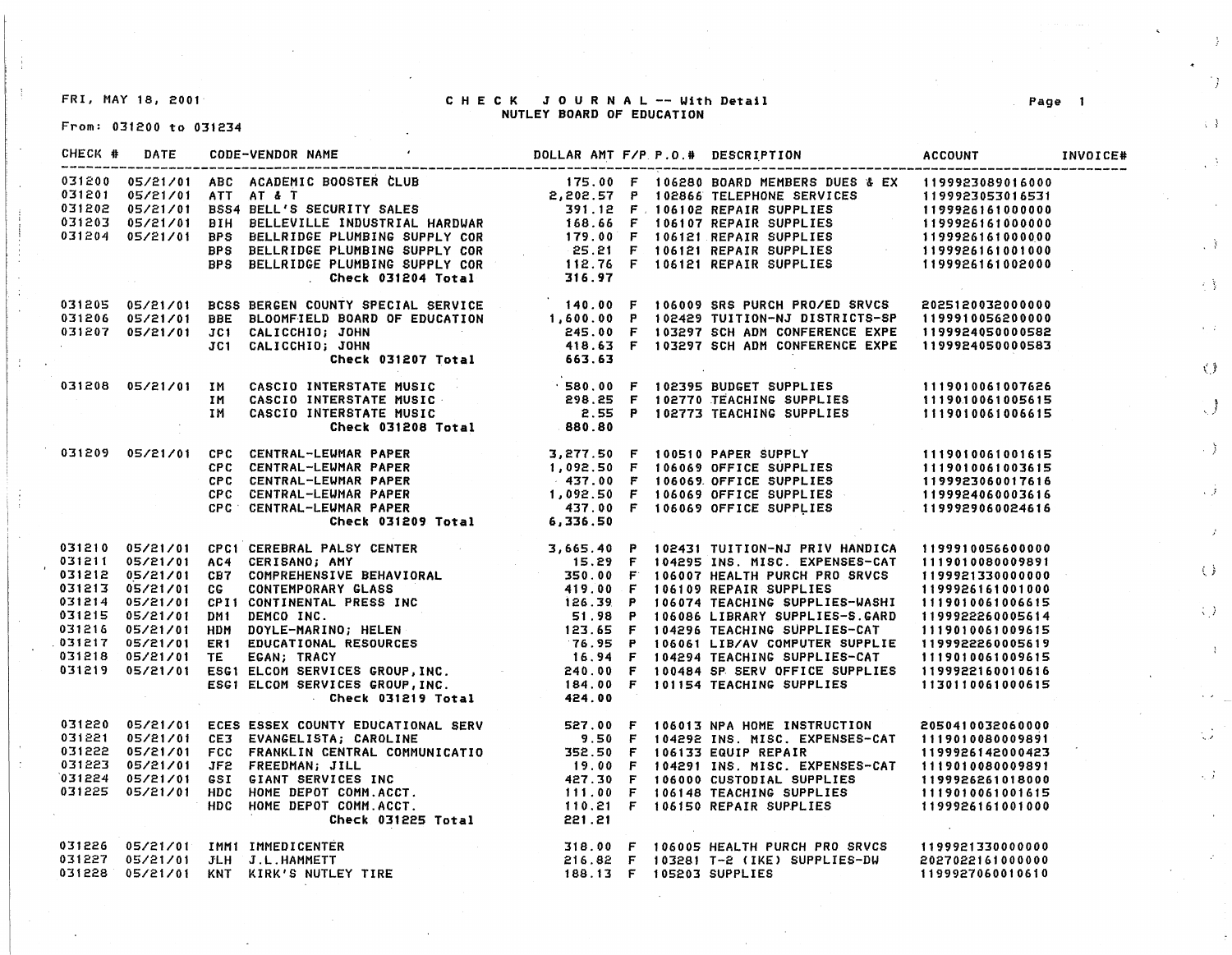FRI, MAY 18, 2001·

## CHECK JOURNAL -- With Detail NUTLEY **BOARD** OF EDUCATION

From: 031200 to 031234

|  | 031205 05/21/01 BCSS BERGEN COUNTY SPECIAL SERVICE 1999.00 F 106009 SRS PURCH PRO/ED SRVCS 2025120032000000<br>031206 05/21/01 BBE BLOOMFIELD BOARD OF EDUCATION 1,600.00 P 102429 TUITION-NJ DISTRICTS-SP 1199910056200000<br>03120     |  |  |  |
|--|------------------------------------------------------------------------------------------------------------------------------------------------------------------------------------------------------------------------------------------|--|--|--|
|  |                                                                                                                                                                                                                                          |  |  |  |
|  |                                                                                                                                                                                                                                          |  |  |  |
|  |                                                                                                                                                                                                                                          |  |  |  |
|  |                                                                                                                                                                                                                                          |  |  |  |
|  |                                                                                                                                                                                                                                          |  |  |  |
|  |                                                                                                                                                                                                                                          |  |  |  |
|  |                                                                                                                                                                                                                                          |  |  |  |
|  |                                                                                                                                                                                                                                          |  |  |  |
|  | 05/21/01 CPC CENTRAL-LEWMAR PAPER (PC CENTRAL-LEWMAR PAPER )<br>CPC CENTRAL-LEWMAR PAPER (PC CENTRAL-LEWMAR PAPER )<br>CPC CENTRAL-LEWMAR PAPER (PC CENTRAL-LEWMAR PAPER 437.00 F 106069 OFFICE SUPPLIES<br>CPC CENTRAL-LEWMAR PAPER (1  |  |  |  |
|  |                                                                                                                                                                                                                                          |  |  |  |
|  |                                                                                                                                                                                                                                          |  |  |  |
|  |                                                                                                                                                                                                                                          |  |  |  |
|  |                                                                                                                                                                                                                                          |  |  |  |
|  |                                                                                                                                                                                                                                          |  |  |  |
|  |                                                                                                                                                                                                                                          |  |  |  |
|  |                                                                                                                                                                                                                                          |  |  |  |
|  |                                                                                                                                                                                                                                          |  |  |  |
|  |                                                                                                                                                                                                                                          |  |  |  |
|  |                                                                                                                                                                                                                                          |  |  |  |
|  |                                                                                                                                                                                                                                          |  |  |  |
|  |                                                                                                                                                                                                                                          |  |  |  |
|  |                                                                                                                                                                                                                                          |  |  |  |
|  |                                                                                                                                                                                                                                          |  |  |  |
|  |                                                                                                                                                                                                                                          |  |  |  |
|  |                                                                                                                                                                                                                                          |  |  |  |
|  | 031210 05/21/01 CPC1 CEREBRAL PALSY CENTER<br>031211 05/21/01 CC CONTEMBORANY BEHAVIORAL<br>031212 05/21/01 CG CONTEMPORARY GLASS<br>031213 05/21/01 CG CONTEMPORARY GLASS<br>031213 05/21/01 CG CONTEMPORARY GLASS<br>031214 05/21/01 C |  |  |  |
|  | 031220 05/21/01 ECES ESSEX COUNTY EDUCATIONAL SERV 527.00 F 106013 NPA HOME INSTRUCTION 2050410032060000<br>031221 05/21/01 CE3 EVANGELISTA; CAROLINE 9.50 F 104292 INS. MISC. EXPENSES-CAT 1119010080009891<br>031222 05/21/01 FC       |  |  |  |
|  |                                                                                                                                                                                                                                          |  |  |  |
|  |                                                                                                                                                                                                                                          |  |  |  |
|  |                                                                                                                                                                                                                                          |  |  |  |
|  |                                                                                                                                                                                                                                          |  |  |  |
|  |                                                                                                                                                                                                                                          |  |  |  |
|  |                                                                                                                                                                                                                                          |  |  |  |
|  |                                                                                                                                                                                                                                          |  |  |  |
|  |                                                                                                                                                                                                                                          |  |  |  |
|  | 031226 05/21/01 IMM1 IMMEDICENTER<br>031227 05/21/01 JLH J.L.HAMMETT                              218.00 F 103281 T-2 (IKE) SUPPLIES-DW  2027022161000000<br>031228 05/21/01 KNT KIRK'S NUTLEY TIRE                      189.13 F 10     |  |  |  |
|  |                                                                                                                                                                                                                                          |  |  |  |
|  |                                                                                                                                                                                                                                          |  |  |  |

Page

 $\mathbb{R}$ 

 $\langle \cdot, \cdot \rangle$ 

 $\left\{ \rightarrow \right\}$ 

 $\langle\cdot\rangle$ 

 $\tilde{\chi}^{\pm}_1(\tilde{x})$ 

 $\bigcup$ 

 $\rightarrow$  ).

 $\sqrt{f}$ 

 $\langle$   $\rangle$ 

 $\langle \downarrow \rangle$  )

 $\Lambda$ 

 $\mathbb{C}^{\mathbb{Z}}$ 

 $\lesssim J^2$ 

 $\mathcal{F}^{\pm}$